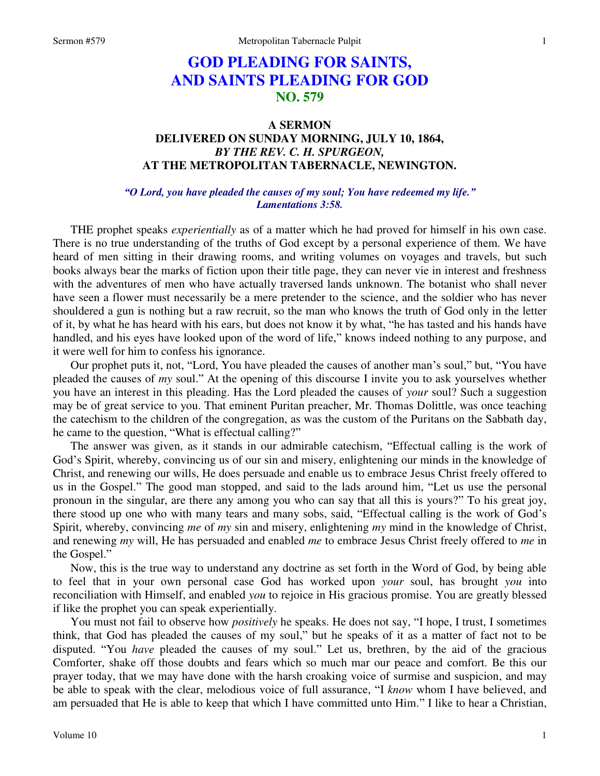# **GOD PLEADING FOR SAINTS, AND SAINTS PLEADING FOR GOD NO. 579**

## **A SERMON DELIVERED ON SUNDAY MORNING, JULY 10, 1864,**  *BY THE REV. C. H. SPURGEON,*  **AT THE METROPOLITAN TABERNACLE, NEWINGTON.**

### *"O Lord, you have pleaded the causes of my soul; You have redeemed my life." Lamentations 3:58.*

THE prophet speaks *experientially* as of a matter which he had proved for himself in his own case. There is no true understanding of the truths of God except by a personal experience of them. We have heard of men sitting in their drawing rooms, and writing volumes on voyages and travels, but such books always bear the marks of fiction upon their title page, they can never vie in interest and freshness with the adventures of men who have actually traversed lands unknown. The botanist who shall never have seen a flower must necessarily be a mere pretender to the science, and the soldier who has never shouldered a gun is nothing but a raw recruit, so the man who knows the truth of God only in the letter of it, by what he has heard with his ears, but does not know it by what, "he has tasted and his hands have handled, and his eyes have looked upon of the word of life," knows indeed nothing to any purpose, and it were well for him to confess his ignorance.

Our prophet puts it, not, "Lord, You have pleaded the causes of another man's soul," but, "You have pleaded the causes of *my* soul." At the opening of this discourse I invite you to ask yourselves whether you have an interest in this pleading. Has the Lord pleaded the causes of *your* soul? Such a suggestion may be of great service to you. That eminent Puritan preacher, Mr. Thomas Dolittle, was once teaching the catechism to the children of the congregation, as was the custom of the Puritans on the Sabbath day, he came to the question, "What is effectual calling?"

The answer was given, as it stands in our admirable catechism, "Effectual calling is the work of God's Spirit, whereby, convincing us of our sin and misery, enlightening our minds in the knowledge of Christ, and renewing our wills, He does persuade and enable us to embrace Jesus Christ freely offered to us in the Gospel." The good man stopped, and said to the lads around him, "Let us use the personal pronoun in the singular, are there any among you who can say that all this is yours?" To his great joy, there stood up one who with many tears and many sobs, said, "Effectual calling is the work of God's Spirit, whereby, convincing *me* of *my* sin and misery, enlightening *my* mind in the knowledge of Christ, and renewing *my* will, He has persuaded and enabled *me* to embrace Jesus Christ freely offered to *me* in the Gospel."

Now, this is the true way to understand any doctrine as set forth in the Word of God, by being able to feel that in your own personal case God has worked upon *your* soul, has brought *you* into reconciliation with Himself, and enabled *you* to rejoice in His gracious promise. You are greatly blessed if like the prophet you can speak experientially.

You must not fail to observe how *positively* he speaks. He does not say, "I hope, I trust, I sometimes think, that God has pleaded the causes of my soul," but he speaks of it as a matter of fact not to be disputed. "You *have* pleaded the causes of my soul." Let us, brethren, by the aid of the gracious Comforter, shake off those doubts and fears which so much mar our peace and comfort. Be this our prayer today, that we may have done with the harsh croaking voice of surmise and suspicion, and may be able to speak with the clear, melodious voice of full assurance, "I *know* whom I have believed, and am persuaded that He is able to keep that which I have committed unto Him." I like to hear a Christian,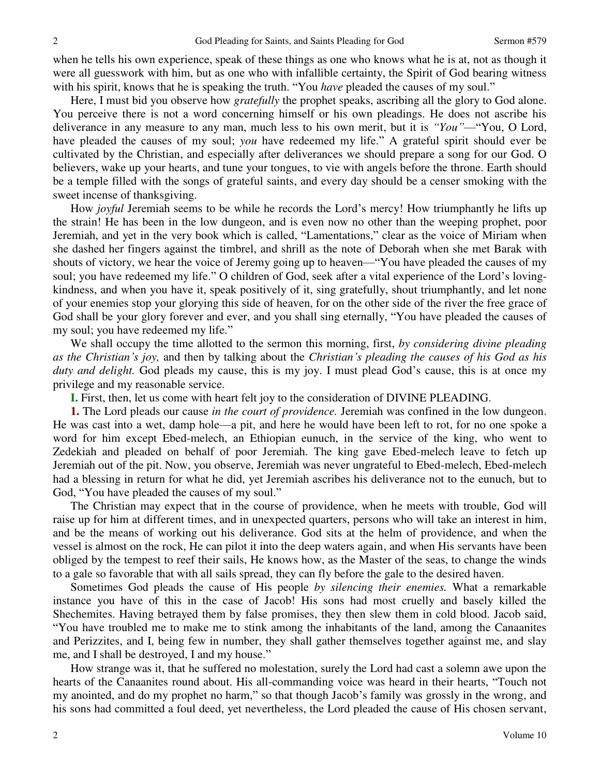when he tells his own experience, speak of these things as one who knows what he is at, not as though it were all guesswork with him, but as one who with infallible certainty, the Spirit of God bearing witness with his spirit, knows that he is speaking the truth. "You *have* pleaded the causes of my soul."

Here, I must bid you observe how *gratefully* the prophet speaks, ascribing all the glory to God alone. You perceive there is not a word concerning himself or his own pleadings. He does not ascribe his deliverance in any measure to any man, much less to his own merit, but it is *"You"*—"You, O Lord, have pleaded the causes of my soul; *you* have redeemed my life." A grateful spirit should ever be cultivated by the Christian, and especially after deliverances we should prepare a song for our God. O believers, wake up your hearts, and tune your tongues, to vie with angels before the throne. Earth should be a temple filled with the songs of grateful saints, and every day should be a censer smoking with the sweet incense of thanksgiving.

How *joyful* Jeremiah seems to be while he records the Lord's mercy! How triumphantly he lifts up the strain! He has been in the low dungeon, and is even now no other than the weeping prophet, poor Jeremiah, and yet in the very book which is called, "Lamentations," clear as the voice of Miriam when she dashed her fingers against the timbrel, and shrill as the note of Deborah when she met Barak with shouts of victory, we hear the voice of Jeremy going up to heaven—"You have pleaded the causes of my soul; you have redeemed my life." O children of God, seek after a vital experience of the Lord's lovingkindness, and when you have it, speak positively of it, sing gratefully, shout triumphantly, and let none of your enemies stop your glorying this side of heaven, for on the other side of the river the free grace of God shall be your glory forever and ever, and you shall sing eternally, "You have pleaded the causes of my soul; you have redeemed my life."

We shall occupy the time allotted to the sermon this morning, first, *by considering divine pleading as the Christian's joy,* and then by talking about the *Christian's pleading the causes of his God as his duty and delight.* God pleads my cause, this is my joy. I must plead God's cause, this is at once my privilege and my reasonable service.

**I.** First, then, let us come with heart felt joy to the consideration of DIVINE PLEADING.

**1.** The Lord pleads our cause *in the court of providence.* Jeremiah was confined in the low dungeon. He was cast into a wet, damp hole—a pit, and here he would have been left to rot, for no one spoke a word for him except Ebed-melech, an Ethiopian eunuch, in the service of the king, who went to Zedekiah and pleaded on behalf of poor Jeremiah. The king gave Ebed-melech leave to fetch up Jeremiah out of the pit. Now, you observe, Jeremiah was never ungrateful to Ebed-melech, Ebed-melech had a blessing in return for what he did, yet Jeremiah ascribes his deliverance not to the eunuch, but to God, "You have pleaded the causes of my soul."

The Christian may expect that in the course of providence, when he meets with trouble, God will raise up for him at different times, and in unexpected quarters, persons who will take an interest in him, and be the means of working out his deliverance. God sits at the helm of providence, and when the vessel is almost on the rock, He can pilot it into the deep waters again, and when His servants have been obliged by the tempest to reef their sails, He knows how, as the Master of the seas, to change the winds to a gale so favorable that with all sails spread, they can fly before the gale to the desired haven.

Sometimes God pleads the cause of His people *by silencing their enemies.* What a remarkable instance you have of this in the case of Jacob! His sons had most cruelly and basely killed the Shechemites. Having betrayed them by false promises, they then slew them in cold blood. Jacob said, "You have troubled me to make me to stink among the inhabitants of the land, among the Canaanites and Perizzites, and I, being few in number, they shall gather themselves together against me, and slay me, and I shall be destroyed, I and my house."

How strange was it, that he suffered no molestation, surely the Lord had cast a solemn awe upon the hearts of the Canaanites round about. His all-commanding voice was heard in their hearts, "Touch not my anointed, and do my prophet no harm," so that though Jacob's family was grossly in the wrong, and his sons had committed a foul deed, yet nevertheless, the Lord pleaded the cause of His chosen servant,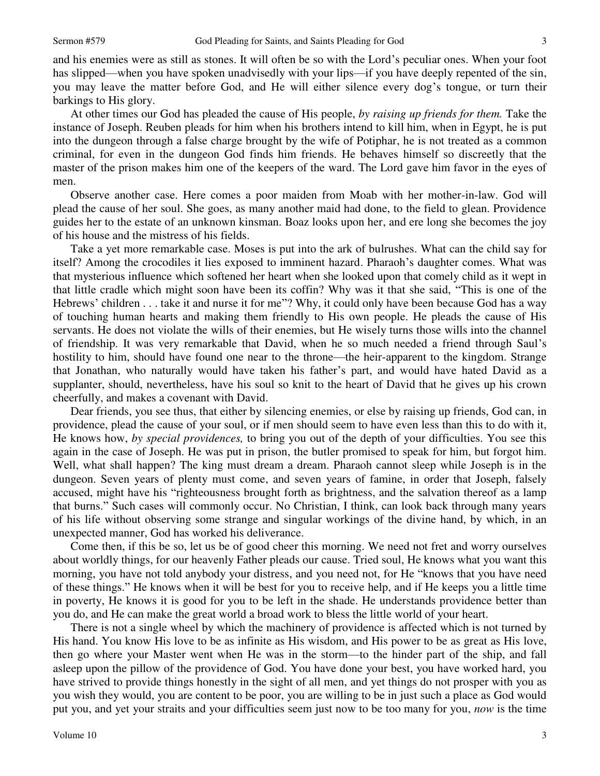3

and his enemies were as still as stones. It will often be so with the Lord's peculiar ones. When your foot has slipped—when you have spoken unadvisedly with your lips—if you have deeply repented of the sin, you may leave the matter before God, and He will either silence every dog's tongue, or turn their barkings to His glory.

At other times our God has pleaded the cause of His people, *by raising up friends for them.* Take the instance of Joseph. Reuben pleads for him when his brothers intend to kill him, when in Egypt, he is put into the dungeon through a false charge brought by the wife of Potiphar, he is not treated as a common criminal, for even in the dungeon God finds him friends. He behaves himself so discreetly that the master of the prison makes him one of the keepers of the ward. The Lord gave him favor in the eyes of men.

Observe another case. Here comes a poor maiden from Moab with her mother-in-law. God will plead the cause of her soul. She goes, as many another maid had done, to the field to glean. Providence guides her to the estate of an unknown kinsman. Boaz looks upon her, and ere long she becomes the joy of his house and the mistress of his fields.

Take a yet more remarkable case. Moses is put into the ark of bulrushes. What can the child say for itself? Among the crocodiles it lies exposed to imminent hazard. Pharaoh's daughter comes. What was that mysterious influence which softened her heart when she looked upon that comely child as it wept in that little cradle which might soon have been its coffin? Why was it that she said, "This is one of the Hebrews' children . . . take it and nurse it for me"? Why, it could only have been because God has a way of touching human hearts and making them friendly to His own people. He pleads the cause of His servants. He does not violate the wills of their enemies, but He wisely turns those wills into the channel of friendship. It was very remarkable that David, when he so much needed a friend through Saul's hostility to him, should have found one near to the throne—the heir-apparent to the kingdom. Strange that Jonathan, who naturally would have taken his father's part, and would have hated David as a supplanter, should, nevertheless, have his soul so knit to the heart of David that he gives up his crown cheerfully, and makes a covenant with David.

Dear friends, you see thus, that either by silencing enemies, or else by raising up friends, God can, in providence, plead the cause of your soul, or if men should seem to have even less than this to do with it, He knows how, *by special providences,* to bring you out of the depth of your difficulties. You see this again in the case of Joseph. He was put in prison, the butler promised to speak for him, but forgot him. Well, what shall happen? The king must dream a dream. Pharaoh cannot sleep while Joseph is in the dungeon. Seven years of plenty must come, and seven years of famine, in order that Joseph, falsely accused, might have his "righteousness brought forth as brightness, and the salvation thereof as a lamp that burns." Such cases will commonly occur. No Christian, I think, can look back through many years of his life without observing some strange and singular workings of the divine hand, by which, in an unexpected manner, God has worked his deliverance.

Come then, if this be so, let us be of good cheer this morning. We need not fret and worry ourselves about worldly things, for our heavenly Father pleads our cause. Tried soul, He knows what you want this morning, you have not told anybody your distress, and you need not, for He "knows that you have need of these things." He knows when it will be best for you to receive help, and if He keeps you a little time in poverty, He knows it is good for you to be left in the shade. He understands providence better than you do, and He can make the great world a broad work to bless the little world of your heart.

There is not a single wheel by which the machinery of providence is affected which is not turned by His hand. You know His love to be as infinite as His wisdom, and His power to be as great as His love, then go where your Master went when He was in the storm—to the hinder part of the ship, and fall asleep upon the pillow of the providence of God. You have done your best, you have worked hard, you have strived to provide things honestly in the sight of all men, and yet things do not prosper with you as you wish they would, you are content to be poor, you are willing to be in just such a place as God would put you, and yet your straits and your difficulties seem just now to be too many for you, *now* is the time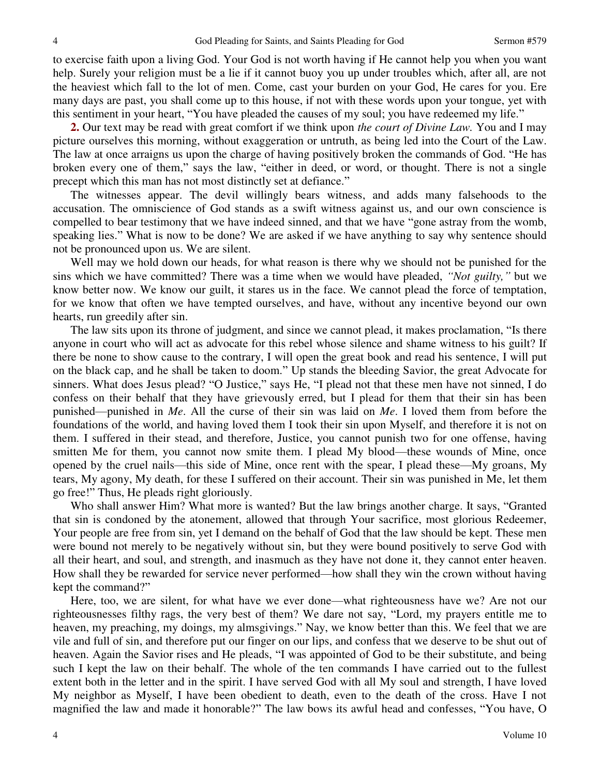to exercise faith upon a living God. Your God is not worth having if He cannot help you when you want help. Surely your religion must be a lie if it cannot buoy you up under troubles which, after all, are not the heaviest which fall to the lot of men. Come, cast your burden on your God, He cares for you. Ere many days are past, you shall come up to this house, if not with these words upon your tongue, yet with this sentiment in your heart, "You have pleaded the causes of my soul; you have redeemed my life."

**2.** Our text may be read with great comfort if we think upon *the court of Divine Law.* You and I may picture ourselves this morning, without exaggeration or untruth, as being led into the Court of the Law. The law at once arraigns us upon the charge of having positively broken the commands of God. "He has broken every one of them," says the law, "either in deed, or word, or thought. There is not a single precept which this man has not most distinctly set at defiance."

The witnesses appear. The devil willingly bears witness, and adds many falsehoods to the accusation. The omniscience of God stands as a swift witness against us, and our own conscience is compelled to bear testimony that we have indeed sinned, and that we have "gone astray from the womb, speaking lies." What is now to be done? We are asked if we have anything to say why sentence should not be pronounced upon us. We are silent.

Well may we hold down our heads, for what reason is there why we should not be punished for the sins which we have committed? There was a time when we would have pleaded, *"Not guilty,"* but we know better now. We know our guilt, it stares us in the face. We cannot plead the force of temptation, for we know that often we have tempted ourselves, and have, without any incentive beyond our own hearts, run greedily after sin.

The law sits upon its throne of judgment, and since we cannot plead, it makes proclamation, "Is there anyone in court who will act as advocate for this rebel whose silence and shame witness to his guilt? If there be none to show cause to the contrary, I will open the great book and read his sentence, I will put on the black cap, and he shall be taken to doom." Up stands the bleeding Savior, the great Advocate for sinners. What does Jesus plead? "O Justice," says He, "I plead not that these men have not sinned, I do confess on their behalf that they have grievously erred, but I plead for them that their sin has been punished—punished in *Me*. All the curse of their sin was laid on *Me*. I loved them from before the foundations of the world, and having loved them I took their sin upon Myself, and therefore it is not on them. I suffered in their stead, and therefore, Justice, you cannot punish two for one offense, having smitten Me for them, you cannot now smite them. I plead My blood—these wounds of Mine, once opened by the cruel nails—this side of Mine, once rent with the spear, I plead these—My groans, My tears, My agony, My death, for these I suffered on their account. Their sin was punished in Me, let them go free!" Thus, He pleads right gloriously.

Who shall answer Him? What more is wanted? But the law brings another charge. It says, "Granted that sin is condoned by the atonement, allowed that through Your sacrifice, most glorious Redeemer, Your people are free from sin, yet I demand on the behalf of God that the law should be kept. These men were bound not merely to be negatively without sin, but they were bound positively to serve God with all their heart, and soul, and strength, and inasmuch as they have not done it, they cannot enter heaven. How shall they be rewarded for service never performed—how shall they win the crown without having kept the command?"

Here, too, we are silent, for what have we ever done—what righteousness have we? Are not our righteousnesses filthy rags, the very best of them? We dare not say, "Lord, my prayers entitle me to heaven, my preaching, my doings, my almsgivings." Nay, we know better than this. We feel that we are vile and full of sin, and therefore put our finger on our lips, and confess that we deserve to be shut out of heaven. Again the Savior rises and He pleads, "I was appointed of God to be their substitute, and being such I kept the law on their behalf. The whole of the ten commands I have carried out to the fullest extent both in the letter and in the spirit. I have served God with all My soul and strength, I have loved My neighbor as Myself, I have been obedient to death, even to the death of the cross. Have I not magnified the law and made it honorable?" The law bows its awful head and confesses, "You have, O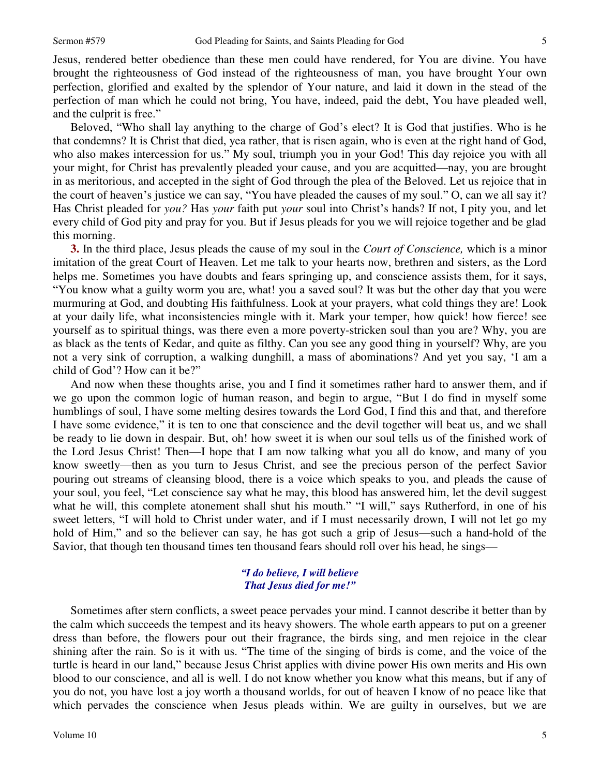Jesus, rendered better obedience than these men could have rendered, for You are divine. You have brought the righteousness of God instead of the righteousness of man, you have brought Your own perfection, glorified and exalted by the splendor of Your nature, and laid it down in the stead of the perfection of man which he could not bring, You have, indeed, paid the debt, You have pleaded well, and the culprit is free."

Beloved, "Who shall lay anything to the charge of God's elect? It is God that justifies. Who is he that condemns? It is Christ that died, yea rather, that is risen again, who is even at the right hand of God, who also makes intercession for us." My soul, triumph you in your God! This day rejoice you with all your might, for Christ has prevalently pleaded your cause, and you are acquitted—nay, you are brought in as meritorious, and accepted in the sight of God through the plea of the Beloved. Let us rejoice that in the court of heaven's justice we can say, "You have pleaded the causes of my soul." O, can we all say it? Has Christ pleaded for *you?* Has *your* faith put *your* soul into Christ's hands? If not, I pity you, and let every child of God pity and pray for you. But if Jesus pleads for you we will rejoice together and be glad this morning.

**3.** In the third place, Jesus pleads the cause of my soul in the *Court of Conscience,* which is a minor imitation of the great Court of Heaven. Let me talk to your hearts now, brethren and sisters, as the Lord helps me. Sometimes you have doubts and fears springing up, and conscience assists them, for it says, "You know what a guilty worm you are, what! you a saved soul? It was but the other day that you were murmuring at God, and doubting His faithfulness. Look at your prayers, what cold things they are! Look at your daily life, what inconsistencies mingle with it. Mark your temper, how quick! how fierce! see yourself as to spiritual things, was there even a more poverty-stricken soul than you are? Why, you are as black as the tents of Kedar, and quite as filthy. Can you see any good thing in yourself? Why, are you not a very sink of corruption, a walking dunghill, a mass of abominations? And yet you say, 'I am a child of God'? How can it be?"

And now when these thoughts arise, you and I find it sometimes rather hard to answer them, and if we go upon the common logic of human reason, and begin to argue, "But I do find in myself some humblings of soul, I have some melting desires towards the Lord God, I find this and that, and therefore I have some evidence," it is ten to one that conscience and the devil together will beat us, and we shall be ready to lie down in despair. But, oh! how sweet it is when our soul tells us of the finished work of the Lord Jesus Christ! Then—I hope that I am now talking what you all do know, and many of you know sweetly—then as you turn to Jesus Christ, and see the precious person of the perfect Savior pouring out streams of cleansing blood, there is a voice which speaks to you, and pleads the cause of your soul, you feel, "Let conscience say what he may, this blood has answered him, let the devil suggest what he will, this complete atonement shall shut his mouth." "I will," says Rutherford, in one of his sweet letters, "I will hold to Christ under water, and if I must necessarily drown, I will not let go my hold of Him," and so the believer can say, he has got such a grip of Jesus—such a hand-hold of the Savior, that though ten thousand times ten thousand fears should roll over his head, he sings*—*

### *"I do believe, I will believe That Jesus died for me!"*

Sometimes after stern conflicts, a sweet peace pervades your mind. I cannot describe it better than by the calm which succeeds the tempest and its heavy showers. The whole earth appears to put on a greener dress than before, the flowers pour out their fragrance, the birds sing, and men rejoice in the clear shining after the rain. So is it with us. "The time of the singing of birds is come, and the voice of the turtle is heard in our land," because Jesus Christ applies with divine power His own merits and His own blood to our conscience, and all is well. I do not know whether you know what this means, but if any of you do not, you have lost a joy worth a thousand worlds, for out of heaven I know of no peace like that which pervades the conscience when Jesus pleads within. We are guilty in ourselves, but we are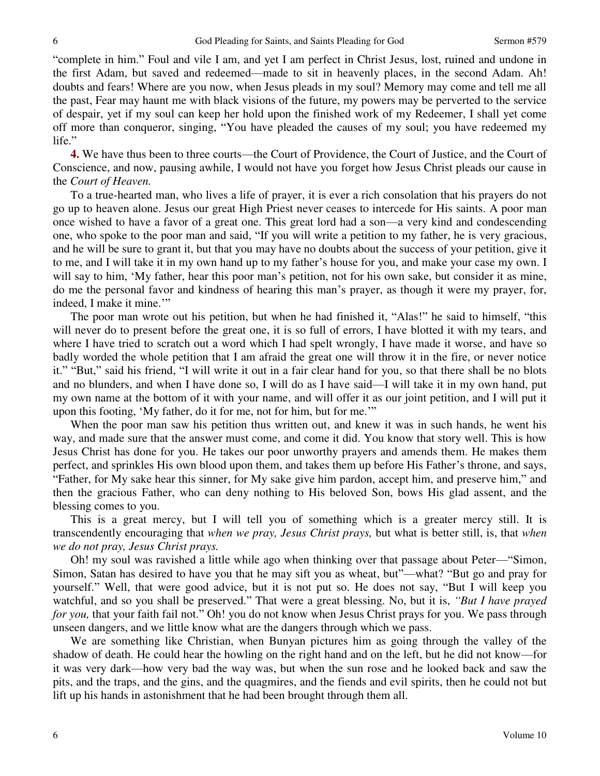"complete in him." Foul and vile I am, and yet I am perfect in Christ Jesus, lost, ruined and undone in the first Adam, but saved and redeemed—made to sit in heavenly places, in the second Adam. Ah! doubts and fears! Where are you now, when Jesus pleads in my soul? Memory may come and tell me all the past, Fear may haunt me with black visions of the future, my powers may be perverted to the service of despair, yet if my soul can keep her hold upon the finished work of my Redeemer, I shall yet come off more than conqueror, singing, "You have pleaded the causes of my soul; you have redeemed my life."

**4.** We have thus been to three courts—the Court of Providence, the Court of Justice, and the Court of Conscience, and now, pausing awhile, I would not have you forget how Jesus Christ pleads our cause in the *Court of Heaven.*

To a true-hearted man, who lives a life of prayer, it is ever a rich consolation that his prayers do not go up to heaven alone. Jesus our great High Priest never ceases to intercede for His saints. A poor man once wished to have a favor of a great one. This great lord had a son—a very kind and condescending one, who spoke to the poor man and said, "If you will write a petition to my father, he is very gracious, and he will be sure to grant it, but that you may have no doubts about the success of your petition, give it to me, and I will take it in my own hand up to my father's house for you, and make your case my own. I will say to him, 'My father, hear this poor man's petition, not for his own sake, but consider it as mine, do me the personal favor and kindness of hearing this man's prayer, as though it were my prayer, for, indeed, I make it mine."

The poor man wrote out his petition, but when he had finished it, "Alas!" he said to himself, "this will never do to present before the great one, it is so full of errors, I have blotted it with my tears, and where I have tried to scratch out a word which I had spelt wrongly, I have made it worse, and have so badly worded the whole petition that I am afraid the great one will throw it in the fire, or never notice it." "But," said his friend, "I will write it out in a fair clear hand for you, so that there shall be no blots and no blunders, and when I have done so, I will do as I have said—I will take it in my own hand, put my own name at the bottom of it with your name, and will offer it as our joint petition, and I will put it upon this footing, 'My father, do it for me, not for him, but for me.'"

When the poor man saw his petition thus written out, and knew it was in such hands, he went his way, and made sure that the answer must come, and come it did. You know that story well. This is how Jesus Christ has done for you. He takes our poor unworthy prayers and amends them. He makes them perfect, and sprinkles His own blood upon them, and takes them up before His Father's throne, and says, "Father, for My sake hear this sinner, for My sake give him pardon, accept him, and preserve him," and then the gracious Father, who can deny nothing to His beloved Son, bows His glad assent, and the blessing comes to you.

This is a great mercy, but I will tell you of something which is a greater mercy still. It is transcendently encouraging that *when we pray, Jesus Christ prays,* but what is better still, is, that *when we do not pray, Jesus Christ prays.* 

Oh! my soul was ravished a little while ago when thinking over that passage about Peter—"Simon, Simon, Satan has desired to have you that he may sift you as wheat, but"—what? "But go and pray for yourself." Well, that were good advice, but it is not put so. He does not say, "But I will keep you watchful, and so you shall be preserved." That were a great blessing. No, but it is, *"But I have prayed for you,* that your faith fail not." Oh! you do not know when Jesus Christ prays for you. We pass through unseen dangers, and we little know what are the dangers through which we pass.

We are something like Christian, when Bunyan pictures him as going through the valley of the shadow of death. He could hear the howling on the right hand and on the left, but he did not know—for it was very dark—how very bad the way was, but when the sun rose and he looked back and saw the pits, and the traps, and the gins, and the quagmires, and the fiends and evil spirits, then he could not but lift up his hands in astonishment that he had been brought through them all.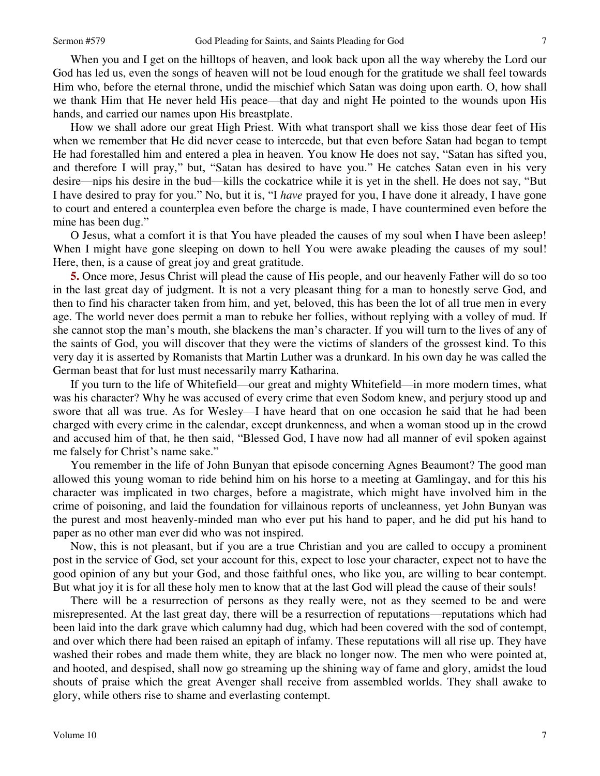7

When you and I get on the hilltops of heaven, and look back upon all the way whereby the Lord our God has led us, even the songs of heaven will not be loud enough for the gratitude we shall feel towards Him who, before the eternal throne, undid the mischief which Satan was doing upon earth. O, how shall we thank Him that He never held His peace—that day and night He pointed to the wounds upon His hands, and carried our names upon His breastplate.

How we shall adore our great High Priest. With what transport shall we kiss those dear feet of His when we remember that He did never cease to intercede, but that even before Satan had began to tempt He had forestalled him and entered a plea in heaven. You know He does not say, "Satan has sifted you, and therefore I will pray," but, "Satan has desired to have you." He catches Satan even in his very desire—nips his desire in the bud—kills the cockatrice while it is yet in the shell. He does not say, "But I have desired to pray for you." No, but it is, "I *have* prayed for you, I have done it already, I have gone to court and entered a counterplea even before the charge is made, I have countermined even before the mine has been dug."

O Jesus, what a comfort it is that You have pleaded the causes of my soul when I have been asleep! When I might have gone sleeping on down to hell You were awake pleading the causes of my soul! Here, then, is a cause of great joy and great gratitude.

**5.** Once more, Jesus Christ will plead the cause of His people, and our heavenly Father will do so too in the last great day of judgment. It is not a very pleasant thing for a man to honestly serve God, and then to find his character taken from him, and yet, beloved, this has been the lot of all true men in every age. The world never does permit a man to rebuke her follies, without replying with a volley of mud. If she cannot stop the man's mouth, she blackens the man's character. If you will turn to the lives of any of the saints of God, you will discover that they were the victims of slanders of the grossest kind. To this very day it is asserted by Romanists that Martin Luther was a drunkard. In his own day he was called the German beast that for lust must necessarily marry Katharina.

If you turn to the life of Whitefield—our great and mighty Whitefield—in more modern times, what was his character? Why he was accused of every crime that even Sodom knew, and perjury stood up and swore that all was true. As for Wesley—I have heard that on one occasion he said that he had been charged with every crime in the calendar, except drunkenness, and when a woman stood up in the crowd and accused him of that, he then said, "Blessed God, I have now had all manner of evil spoken against me falsely for Christ's name sake."

You remember in the life of John Bunyan that episode concerning Agnes Beaumont? The good man allowed this young woman to ride behind him on his horse to a meeting at Gamlingay, and for this his character was implicated in two charges, before a magistrate, which might have involved him in the crime of poisoning, and laid the foundation for villainous reports of uncleanness, yet John Bunyan was the purest and most heavenly-minded man who ever put his hand to paper, and he did put his hand to paper as no other man ever did who was not inspired.

Now, this is not pleasant, but if you are a true Christian and you are called to occupy a prominent post in the service of God, set your account for this, expect to lose your character, expect not to have the good opinion of any but your God, and those faithful ones, who like you, are willing to bear contempt. But what joy it is for all these holy men to know that at the last God will plead the cause of their souls!

There will be a resurrection of persons as they really were, not as they seemed to be and were misrepresented. At the last great day, there will be a resurrection of reputations—reputations which had been laid into the dark grave which calumny had dug, which had been covered with the sod of contempt, and over which there had been raised an epitaph of infamy. These reputations will all rise up. They have washed their robes and made them white, they are black no longer now. The men who were pointed at, and hooted, and despised, shall now go streaming up the shining way of fame and glory, amidst the loud shouts of praise which the great Avenger shall receive from assembled worlds. They shall awake to glory, while others rise to shame and everlasting contempt.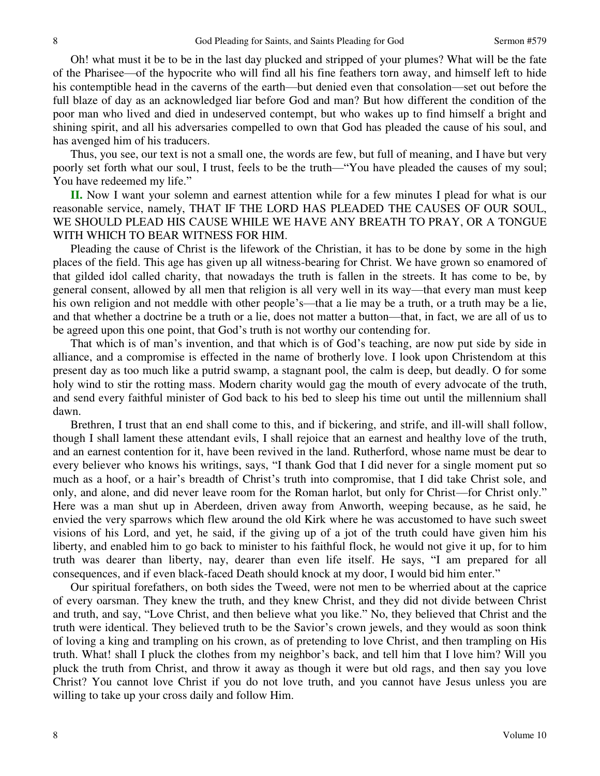Oh! what must it be to be in the last day plucked and stripped of your plumes? What will be the fate of the Pharisee—of the hypocrite who will find all his fine feathers torn away, and himself left to hide his contemptible head in the caverns of the earth—but denied even that consolation—set out before the full blaze of day as an acknowledged liar before God and man? But how different the condition of the poor man who lived and died in undeserved contempt, but who wakes up to find himself a bright and shining spirit, and all his adversaries compelled to own that God has pleaded the cause of his soul, and has avenged him of his traducers.

Thus, you see, our text is not a small one, the words are few, but full of meaning, and I have but very poorly set forth what our soul, I trust, feels to be the truth—"You have pleaded the causes of my soul; You have redeemed my life."

**II.** Now I want your solemn and earnest attention while for a few minutes I plead for what is our reasonable service, namely, THAT IF THE LORD HAS PLEADED THE CAUSES OF OUR SOUL, WE SHOULD PLEAD HIS CAUSE WHILE WE HAVE ANY BREATH TO PRAY, OR A TONGUE WITH WHICH TO BEAR WITNESS FOR HIM.

Pleading the cause of Christ is the lifework of the Christian, it has to be done by some in the high places of the field. This age has given up all witness-bearing for Christ. We have grown so enamored of that gilded idol called charity, that nowadays the truth is fallen in the streets. It has come to be, by general consent, allowed by all men that religion is all very well in its way—that every man must keep his own religion and not meddle with other people's—that a lie may be a truth, or a truth may be a lie, and that whether a doctrine be a truth or a lie, does not matter a button—that, in fact, we are all of us to be agreed upon this one point, that God's truth is not worthy our contending for.

That which is of man's invention, and that which is of God's teaching, are now put side by side in alliance, and a compromise is effected in the name of brotherly love. I look upon Christendom at this present day as too much like a putrid swamp, a stagnant pool, the calm is deep, but deadly. O for some holy wind to stir the rotting mass. Modern charity would gag the mouth of every advocate of the truth, and send every faithful minister of God back to his bed to sleep his time out until the millennium shall dawn.

Brethren, I trust that an end shall come to this, and if bickering, and strife, and ill-will shall follow, though I shall lament these attendant evils, I shall rejoice that an earnest and healthy love of the truth, and an earnest contention for it, have been revived in the land. Rutherford, whose name must be dear to every believer who knows his writings, says, "I thank God that I did never for a single moment put so much as a hoof, or a hair's breadth of Christ's truth into compromise, that I did take Christ sole, and only, and alone, and did never leave room for the Roman harlot, but only for Christ—for Christ only." Here was a man shut up in Aberdeen, driven away from Anworth, weeping because, as he said, he envied the very sparrows which flew around the old Kirk where he was accustomed to have such sweet visions of his Lord, and yet, he said, if the giving up of a jot of the truth could have given him his liberty, and enabled him to go back to minister to his faithful flock, he would not give it up, for to him truth was dearer than liberty, nay, dearer than even life itself. He says, "I am prepared for all consequences, and if even black-faced Death should knock at my door, I would bid him enter."

Our spiritual forefathers, on both sides the Tweed, were not men to be wherried about at the caprice of every oarsman. They knew the truth, and they knew Christ, and they did not divide between Christ and truth, and say, "Love Christ, and then believe what you like." No, they believed that Christ and the truth were identical. They believed truth to be the Savior's crown jewels, and they would as soon think of loving a king and trampling on his crown, as of pretending to love Christ, and then trampling on His truth. What! shall I pluck the clothes from my neighbor's back, and tell him that I love him? Will you pluck the truth from Christ, and throw it away as though it were but old rags, and then say you love Christ? You cannot love Christ if you do not love truth, and you cannot have Jesus unless you are willing to take up your cross daily and follow Him.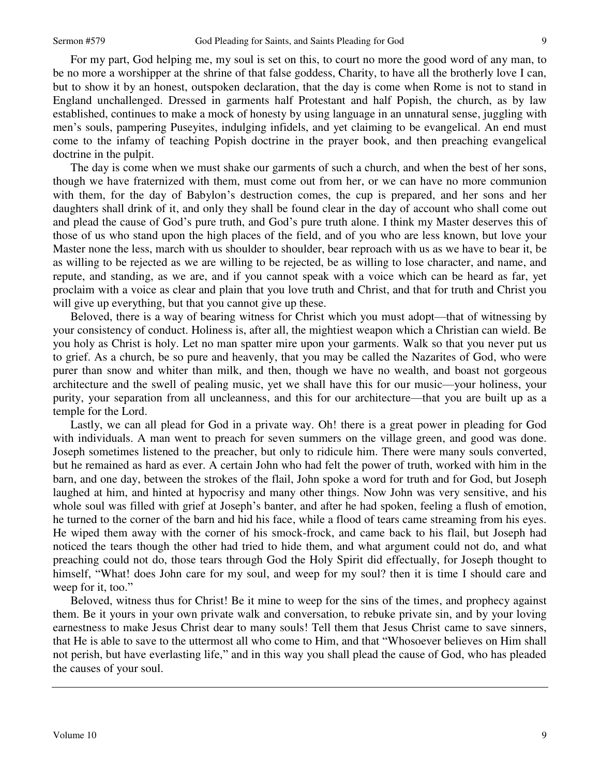For my part, God helping me, my soul is set on this, to court no more the good word of any man, to be no more a worshipper at the shrine of that false goddess, Charity, to have all the brotherly love I can, but to show it by an honest, outspoken declaration, that the day is come when Rome is not to stand in England unchallenged. Dressed in garments half Protestant and half Popish, the church, as by law established, continues to make a mock of honesty by using language in an unnatural sense, juggling with men's souls, pampering Puseyites, indulging infidels, and yet claiming to be evangelical. An end must come to the infamy of teaching Popish doctrine in the prayer book, and then preaching evangelical doctrine in the pulpit.

The day is come when we must shake our garments of such a church, and when the best of her sons, though we have fraternized with them, must come out from her, or we can have no more communion with them, for the day of Babylon's destruction comes, the cup is prepared, and her sons and her daughters shall drink of it, and only they shall be found clear in the day of account who shall come out and plead the cause of God's pure truth, and God's pure truth alone. I think my Master deserves this of those of us who stand upon the high places of the field, and of you who are less known, but love your Master none the less, march with us shoulder to shoulder, bear reproach with us as we have to bear it, be as willing to be rejected as we are willing to be rejected, be as willing to lose character, and name, and repute, and standing, as we are, and if you cannot speak with a voice which can be heard as far, yet proclaim with a voice as clear and plain that you love truth and Christ, and that for truth and Christ you will give up everything, but that you cannot give up these.

Beloved, there is a way of bearing witness for Christ which you must adopt—that of witnessing by your consistency of conduct. Holiness is, after all, the mightiest weapon which a Christian can wield. Be you holy as Christ is holy. Let no man spatter mire upon your garments. Walk so that you never put us to grief. As a church, be so pure and heavenly, that you may be called the Nazarites of God, who were purer than snow and whiter than milk, and then, though we have no wealth, and boast not gorgeous architecture and the swell of pealing music, yet we shall have this for our music—your holiness, your purity, your separation from all uncleanness, and this for our architecture—that you are built up as a temple for the Lord.

Lastly, we can all plead for God in a private way. Oh! there is a great power in pleading for God with individuals. A man went to preach for seven summers on the village green, and good was done. Joseph sometimes listened to the preacher, but only to ridicule him. There were many souls converted, but he remained as hard as ever. A certain John who had felt the power of truth, worked with him in the barn, and one day, between the strokes of the flail, John spoke a word for truth and for God, but Joseph laughed at him, and hinted at hypocrisy and many other things. Now John was very sensitive, and his whole soul was filled with grief at Joseph's banter, and after he had spoken, feeling a flush of emotion, he turned to the corner of the barn and hid his face, while a flood of tears came streaming from his eyes. He wiped them away with the corner of his smock-frock, and came back to his flail, but Joseph had noticed the tears though the other had tried to hide them, and what argument could not do, and what preaching could not do, those tears through God the Holy Spirit did effectually, for Joseph thought to himself, "What! does John care for my soul, and weep for my soul? then it is time I should care and weep for it, too."

Beloved, witness thus for Christ! Be it mine to weep for the sins of the times, and prophecy against them. Be it yours in your own private walk and conversation, to rebuke private sin, and by your loving earnestness to make Jesus Christ dear to many souls! Tell them that Jesus Christ came to save sinners, that He is able to save to the uttermost all who come to Him, and that "Whosoever believes on Him shall not perish, but have everlasting life," and in this way you shall plead the cause of God, who has pleaded the causes of your soul.